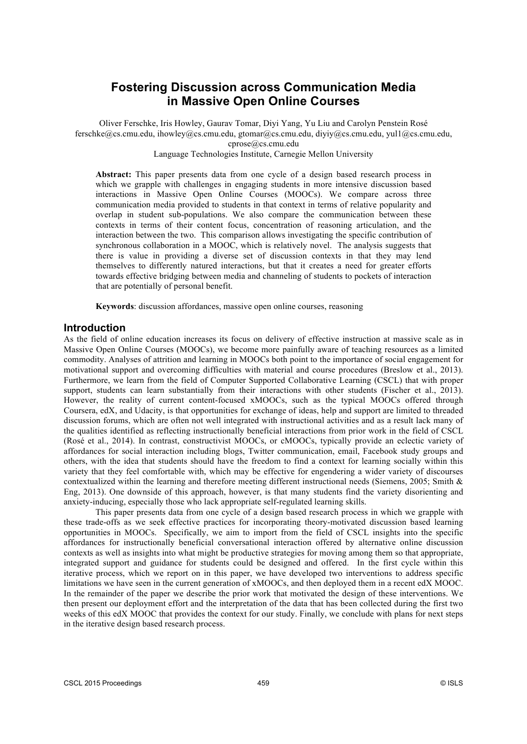# **Fostering Discussion across Communication Media in Massive Open Online Courses**

Oliver Ferschke, Iris Howley, Gaurav Tomar, Diyi Yang, Yu Liu and Carolyn Penstein Rosé ferschke@cs.cmu.edu, ihowley@cs.cmu.edu, gtomar@cs.cmu.edu, diyiy@cs.cmu.edu, yul1@cs.cmu.edu, cprose@cs.cmu.edu

Language Technologies Institute, Carnegie Mellon University

**Abstract:** This paper presents data from one cycle of a design based research process in which we grapple with challenges in engaging students in more intensive discussion based interactions in Massive Open Online Courses (MOOCs). We compare across three communication media provided to students in that context in terms of relative popularity and overlap in student sub-populations. We also compare the communication between these contexts in terms of their content focus, concentration of reasoning articulation, and the interaction between the two. This comparison allows investigating the specific contribution of synchronous collaboration in a MOOC, which is relatively novel. The analysis suggests that there is value in providing a diverse set of discussion contexts in that they may lend themselves to differently natured interactions, but that it creates a need for greater efforts towards effective bridging between media and channeling of students to pockets of interaction that are potentially of personal benefit.

**Keywords**: discussion affordances, massive open online courses, reasoning

### **Introduction**

As the field of online education increases its focus on delivery of effective instruction at massive scale as in Massive Open Online Courses (MOOCs), we become more painfully aware of teaching resources as a limited commodity. Analyses of attrition and learning in MOOCs both point to the importance of social engagement for motivational support and overcoming difficulties with material and course procedures (Breslow et al., 2013). Furthermore, we learn from the field of Computer Supported Collaborative Learning (CSCL) that with proper support, students can learn substantially from their interactions with other students (Fischer et al., 2013). However, the reality of current content-focused xMOOCs, such as the typical MOOCs offered through Coursera, edX, and Udacity, is that opportunities for exchange of ideas, help and support are limited to threaded discussion forums, which are often not well integrated with instructional activities and as a result lack many of the qualities identified as reflecting instructionally beneficial interactions from prior work in the field of CSCL (Rosé et al., 2014). In contrast, constructivist MOOCs, or cMOOCs, typically provide an eclectic variety of affordances for social interaction including blogs, Twitter communication, email, Facebook study groups and others, with the idea that students should have the freedom to find a context for learning socially within this variety that they feel comfortable with, which may be effective for engendering a wider variety of discourses contextualized within the learning and therefore meeting different instructional needs (Siemens, 2005; Smith & Eng, 2013). One downside of this approach, however, is that many students find the variety disorienting and anxiety-inducing, especially those who lack appropriate self-regulated learning skills.

This paper presents data from one cycle of a design based research process in which we grapple with these trade-offs as we seek effective practices for incorporating theory-motivated discussion based learning opportunities in MOOCs. Specifically, we aim to import from the field of CSCL insights into the specific affordances for instructionally beneficial conversational interaction offered by alternative online discussion contexts as well as insights into what might be productive strategies for moving among them so that appropriate, integrated support and guidance for students could be designed and offered. In the first cycle within this iterative process, which we report on in this paper, we have developed two interventions to address specific limitations we have seen in the current generation of xMOOCs, and then deployed them in a recent edX MOOC. In the remainder of the paper we describe the prior work that motivated the design of these interventions. We then present our deployment effort and the interpretation of the data that has been collected during the first two weeks of this edX MOOC that provides the context for our study. Finally, we conclude with plans for next steps in the iterative design based research process.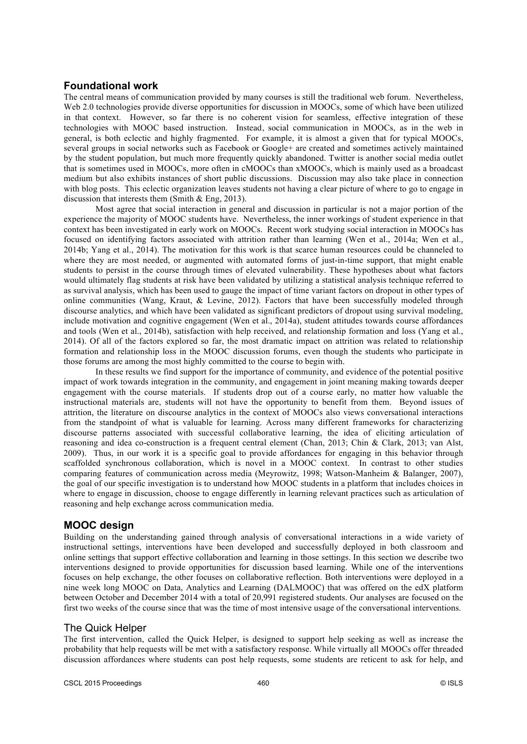## **Foundational work**

The central means of communication provided by many courses is still the traditional web forum. Nevertheless, Web 2.0 technologies provide diverse opportunities for discussion in MOOCs, some of which have been utilized in that context. However, so far there is no coherent vision for seamless, effective integration of these technologies with MOOC based instruction. Instead, social communication in MOOCs, as in the web in general, is both eclectic and highly fragmented. For example, it is almost a given that for typical MOOCs, several groups in social networks such as Facebook or Google+ are created and sometimes actively maintained by the student population, but much more frequently quickly abandoned. Twitter is another social media outlet that is sometimes used in MOOCs, more often in cMOOCs than xMOOCs, which is mainly used as a broadcast medium but also exhibits instances of short public discussions. Discussion may also take place in connection with blog posts. This eclectic organization leaves students not having a clear picture of where to go to engage in discussion that interests them (Smith & Eng, 2013).

Most agree that social interaction in general and discussion in particular is not a major portion of the experience the majority of MOOC students have. Nevertheless, the inner workings of student experience in that context has been investigated in early work on MOOCs. Recent work studying social interaction in MOOCs has focused on identifying factors associated with attrition rather than learning (Wen et al., 2014a; Wen et al., 2014b; Yang et al., 2014). The motivation for this work is that scarce human resources could be channeled to where they are most needed, or augmented with automated forms of just-in-time support, that might enable students to persist in the course through times of elevated vulnerability. These hypotheses about what factors would ultimately flag students at risk have been validated by utilizing a statistical analysis technique referred to as survival analysis, which has been used to gauge the impact of time variant factors on dropout in other types of online communities (Wang, Kraut, & Levine, 2012). Factors that have been successfully modeled through discourse analytics, and which have been validated as significant predictors of dropout using survival modeling, include motivation and cognitive engagement (Wen et al., 2014a), student attitudes towards course affordances and tools (Wen et al., 2014b), satisfaction with help received, and relationship formation and loss (Yang et al., 2014). Of all of the factors explored so far, the most dramatic impact on attrition was related to relationship formation and relationship loss in the MOOC discussion forums, even though the students who participate in those forums are among the most highly committed to the course to begin with.

In these results we find support for the importance of community, and evidence of the potential positive impact of work towards integration in the community, and engagement in joint meaning making towards deeper engagement with the course materials. If students drop out of a course early, no matter how valuable the instructional materials are, students will not have the opportunity to benefit from them. Beyond issues of attrition, the literature on discourse analytics in the context of MOOCs also views conversational interactions from the standpoint of what is valuable for learning. Across many different frameworks for characterizing discourse patterns associated with successful collaborative learning, the idea of eliciting articulation of reasoning and idea co-construction is a frequent central element (Chan, 2013; Chin & Clark, 2013; van Alst, 2009). Thus, in our work it is a specific goal to provide affordances for engaging in this behavior through scaffolded synchronous collaboration, which is novel in a MOOC context. In contrast to other studies comparing features of communication across media (Meyrowitz, 1998; Watson-Manheim & Balanger, 2007), the goal of our specific investigation is to understand how MOOC students in a platform that includes choices in where to engage in discussion, choose to engage differently in learning relevant practices such as articulation of reasoning and help exchange across communication media.

# **MOOC design**

Building on the understanding gained through analysis of conversational interactions in a wide variety of instructional settings, interventions have been developed and successfully deployed in both classroom and online settings that support effective collaboration and learning in those settings. In this section we describe two interventions designed to provide opportunities for discussion based learning. While one of the interventions focuses on help exchange, the other focuses on collaborative reflection. Both interventions were deployed in a nine week long MOOC on Data, Analytics and Learning (DALMOOC) that was offered on the edX platform between October and December 2014 with a total of 20,991 registered students. Our analyses are focused on the first two weeks of the course since that was the time of most intensive usage of the conversational interventions.

# The Quick Helper

The first intervention, called the Quick Helper, is designed to support help seeking as well as increase the probability that help requests will be met with a satisfactory response. While virtually all MOOCs offer threaded discussion affordances where students can post help requests, some students are reticent to ask for help, and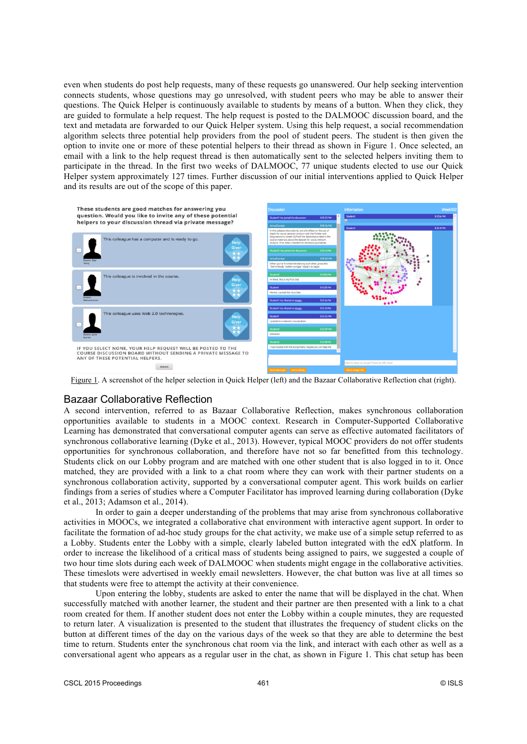even when students do post help requests, many of these requests go unanswered. Our help seeking intervention connects students, whose questions may go unresolved, with student peers who may be able to answer their questions. The Quick Helper is continuously available to students by means of a button. When they click, they are guided to formulate a help request. The help request is posted to the DALMOOC discussion board, and the text and metadata are forwarded to our Quick Helper system. Using this help request, a social recommendation algorithm selects three potential help providers from the pool of student peers. The student is then given the option to invite one or more of these potential helpers to their thread as shown in Figure 1. Once selected, an email with a link to the help request thread is then automatically sent to the selected helpers inviting them to participate in the thread. In the first two weeks of DALMOOC, 77 unique students elected to use our Quick Helper system approximately 127 times. Further discussion of our initial interventions applied to Quick Helper and its results are out of the scope of this paper.



### Bazaar Collaborative Reflection

A second intervention, referred to as Bazaar Collaborative Reflection, makes synchronous collaboration opportunities available to students in a MOOC context. Research in Computer-Supported Collaborative Learning has demonstrated that conversational computer agents can serve as effective automated facilitators of synchronous collaborative learning (Dyke et al., 2013). However, typical MOOC providers do not offer students opportunities for synchronous collaboration, and therefore have not so far benefitted from this technology. Students click on our Lobby program and are matched with one other student that is also logged in to it. Once matched, they are provided with a link to a chat room where they can work with their partner students on a synchronous collaboration activity, supported by a conversational computer agent. This work builds on earlier findings from a series of studies where a Computer Facilitator has improved learning during collaboration (Dyke et al., 2013; Adamson et al., 2014).

In order to gain a deeper understanding of the problems that may arise from synchronous collaborative activities in MOOCs, we integrated a collaborative chat environment with interactive agent support. In order to facilitate the formation of ad-hoc study groups for the chat activity, we make use of a simple setup referred to as a Lobby. Students enter the Lobby with a simple, clearly labeled button integrated with the edX platform. In order to increase the likelihood of a critical mass of students being assigned to pairs, we suggested a couple of two hour time slots during each week of DALMOOC when students might engage in the collaborative activities. These timeslots were advertised in weekly email newsletters. However, the chat button was live at all times so that students were free to attempt the activity at their convenience.

Upon entering the lobby, students are asked to enter the name that will be displayed in the chat. When successfully matched with another learner, the student and their partner are then presented with a link to a chat room created for them. If another student does not enter the Lobby within a couple minutes, they are requested to return later. A visualization is presented to the student that illustrates the frequency of student clicks on the button at different times of the day on the various days of the week so that they are able to determine the best time to return. Students enter the synchronous chat room via the link, and interact with each other as well as a conversational agent who appears as a regular user in the chat, as shown in Figure 1. This chat setup has been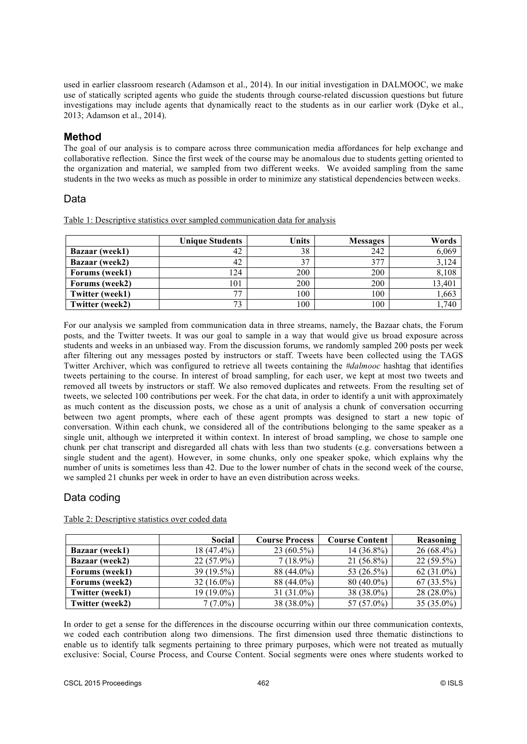used in earlier classroom research (Adamson et al., 2014). In our initial investigation in DALMOOC, we make use of statically scripted agents who guide the students through course-related discussion questions but future investigations may include agents that dynamically react to the students as in our earlier work (Dyke et al., 2013; Adamson et al., 2014).

### **Method**

The goal of our analysis is to compare across three communication media affordances for help exchange and collaborative reflection. Since the first week of the course may be anomalous due to students getting oriented to the organization and material, we sampled from two different weeks. We avoided sampling from the same students in the two weeks as much as possible in order to minimize any statistical dependencies between weeks.

## Data

Table 1: Descriptive statistics over sampled communication data for analysis

|                        | <b>Unique Students</b> | <b>Units</b> | <b>Messages</b> | Words  |
|------------------------|------------------------|--------------|-----------------|--------|
| Bazaar (week1)         | 42                     | 38           | 242             | 6,069  |
| Bazaar (week2)         | 42                     | າາ           | 377             | 3,124  |
| Forums (week1)         | 124                    | 200          | 200             | 8,108  |
| Forums (week2)         | 101                    | 200          | 200             | 13,401 |
| <b>Twitter (week1)</b> | 77                     | 100          | 100             | 1,663  |
| Twitter (week2)        | 73                     | 100          | 100             | 1,740  |

For our analysis we sampled from communication data in three streams, namely, the Bazaar chats, the Forum posts, and the Twitter tweets. It was our goal to sample in a way that would give us broad exposure across students and weeks in an unbiased way. From the discussion forums, we randomly sampled 200 posts per week after filtering out any messages posted by instructors or staff. Tweets have been collected using the TAGS Twitter Archiver, which was configured to retrieve all tweets containing the *#dalmooc* hashtag that identifies tweets pertaining to the course. In interest of broad sampling, for each user, we kept at most two tweets and removed all tweets by instructors or staff. We also removed duplicates and retweets. From the resulting set of tweets, we selected 100 contributions per week. For the chat data, in order to identify a unit with approximately as much content as the discussion posts, we chose as a unit of analysis a chunk of conversation occurring between two agent prompts, where each of these agent prompts was designed to start a new topic of conversation. Within each chunk, we considered all of the contributions belonging to the same speaker as a single unit, although we interpreted it within context. In interest of broad sampling, we chose to sample one chunk per chat transcript and disregarded all chats with less than two students (e.g. conversations between a single student and the agent). However, in some chunks, only one speaker spoke, which explains why the number of units is sometimes less than 42. Due to the lower number of chats in the second week of the course, we sampled 21 chunks per week in order to have an even distribution across weeks.

# Data coding

|                        | Social       | <b>Course Process</b> | <b>Course Content</b> | Reasoning     |
|------------------------|--------------|-----------------------|-----------------------|---------------|
| <b>Bazaar</b> (week1)  | $18(47.4\%)$ | $23(60.5\%)$          | $14(36.8\%)$          | $26(68.4\%)$  |
| Bazaar (week2)         | $22(57.9\%)$ | $7(18.9\%)$           | $21(56.8\%)$          | $22(59.5\%)$  |
| Forums (week1)         | $39(19.5\%)$ | 88 (44.0%)            | 53 (26.5%)            | 62 $(31.0\%)$ |
| Forums (week2)         | $32(16.0\%)$ | 88 (44.0%)            | $80(40.0\%)$          | $67(33.5\%)$  |
| <b>Twitter (week1)</b> | 19 (19.0%)   | $31(31.0\%)$          | 38 (38.0%)            | $28(28.0\%)$  |
| Twitter (week2)        | $7(7.0\%)$   | $38(38.0\%)$          | $57(57.0\%)$          | 35 $(35.0\%)$ |

Table 2: Descriptive statistics over coded data

In order to get a sense for the differences in the discourse occurring within our three communication contexts, we coded each contribution along two dimensions. The first dimension used three thematic distinctions to enable us to identify talk segments pertaining to three primary purposes, which were not treated as mutually exclusive: Social, Course Process, and Course Content. Social segments were ones where students worked to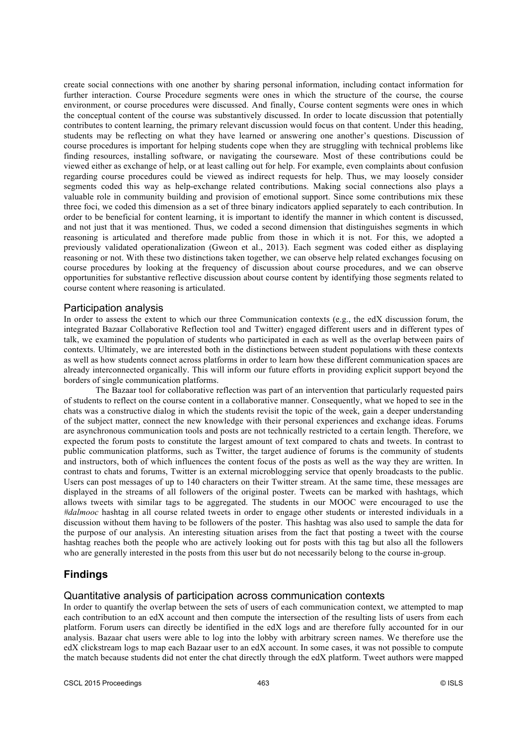create social connections with one another by sharing personal information, including contact information for further interaction. Course Procedure segments were ones in which the structure of the course, the course environment, or course procedures were discussed. And finally, Course content segments were ones in which the conceptual content of the course was substantively discussed. In order to locate discussion that potentially contributes to content learning, the primary relevant discussion would focus on that content. Under this heading, students may be reflecting on what they have learned or answering one another's questions. Discussion of course procedures is important for helping students cope when they are struggling with technical problems like finding resources, installing software, or navigating the courseware. Most of these contributions could be viewed either as exchange of help, or at least calling out for help. For example, even complaints about confusion regarding course procedures could be viewed as indirect requests for help. Thus, we may loosely consider segments coded this way as help-exchange related contributions. Making social connections also plays a valuable role in community building and provision of emotional support. Since some contributions mix these three foci, we coded this dimension as a set of three binary indicators applied separately to each contribution. In order to be beneficial for content learning, it is important to identify the manner in which content is discussed, and not just that it was mentioned. Thus, we coded a second dimension that distinguishes segments in which reasoning is articulated and therefore made public from those in which it is not. For this, we adopted a previously validated operationalization (Gweon et al., 2013). Each segment was coded either as displaying reasoning or not. With these two distinctions taken together, we can observe help related exchanges focusing on course procedures by looking at the frequency of discussion about course procedures, and we can observe opportunities for substantive reflective discussion about course content by identifying those segments related to course content where reasoning is articulated.

#### Participation analysis

In order to assess the extent to which our three Communication contexts (e.g., the edX discussion forum, the integrated Bazaar Collaborative Reflection tool and Twitter) engaged different users and in different types of talk, we examined the population of students who participated in each as well as the overlap between pairs of contexts. Ultimately, we are interested both in the distinctions between student populations with these contexts as well as how students connect across platforms in order to learn how these different communication spaces are already interconnected organically. This will inform our future efforts in providing explicit support beyond the borders of single communication platforms.

The Bazaar tool for collaborative reflection was part of an intervention that particularly requested pairs of students to reflect on the course content in a collaborative manner. Consequently, what we hoped to see in the chats was a constructive dialog in which the students revisit the topic of the week, gain a deeper understanding of the subject matter, connect the new knowledge with their personal experiences and exchange ideas. Forums are asynchronous communication tools and posts are not technically restricted to a certain length. Therefore, we expected the forum posts to constitute the largest amount of text compared to chats and tweets. In contrast to public communication platforms, such as Twitter, the target audience of forums is the community of students and instructors, both of which influences the content focus of the posts as well as the way they are written. In contrast to chats and forums, Twitter is an external microblogging service that openly broadcasts to the public. Users can post messages of up to 140 characters on their Twitter stream. At the same time, these messages are displayed in the streams of all followers of the original poster. Tweets can be marked with hashtags, which allows tweets with similar tags to be aggregated. The students in our MOOC were encouraged to use the *#dalmooc* hashtag in all course related tweets in order to engage other students or interested individuals in a discussion without them having to be followers of the poster. This hashtag was also used to sample the data for the purpose of our analysis. An interesting situation arises from the fact that posting a tweet with the course hashtag reaches both the people who are actively looking out for posts with this tag but also all the followers who are generally interested in the posts from this user but do not necessarily belong to the course in-group.

### **Findings**

### Quantitative analysis of participation across communication contexts

In order to quantify the overlap between the sets of users of each communication context, we attempted to map each contribution to an edX account and then compute the intersection of the resulting lists of users from each platform. Forum users can directly be identified in the edX logs and are therefore fully accounted for in our analysis. Bazaar chat users were able to log into the lobby with arbitrary screen names. We therefore use the edX clickstream logs to map each Bazaar user to an edX account. In some cases, it was not possible to compute the match because students did not enter the chat directly through the edX platform. Tweet authors were mapped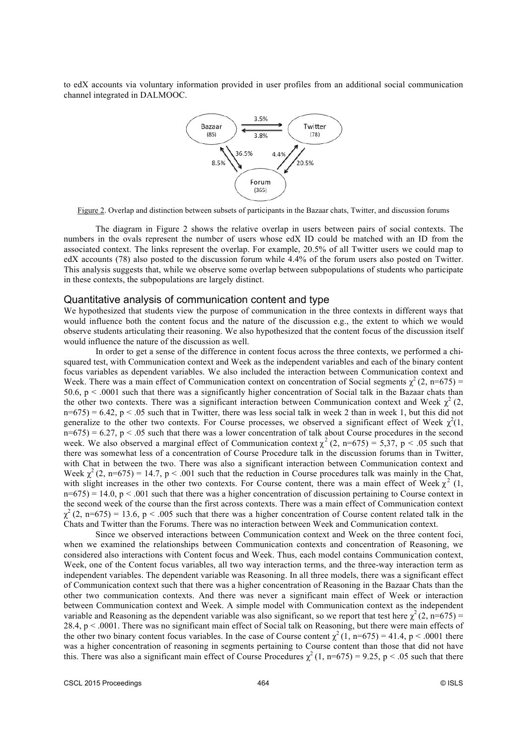to edX accounts via voluntary information provided in user profiles from an additional social communication channel integrated in DALMOOC.



Figure 2. Overlap and distinction between subsets of participants in the Bazaar chats, Twitter, and discussion forums

The diagram in Figure 2 shows the relative overlap in users between pairs of social contexts. The numbers in the ovals represent the number of users whose edX ID could be matched with an ID from the associated context. The links represent the overlap. For example, 20.5% of all Twitter users we could map to edX accounts (78) also posted to the discussion forum while 4.4% of the forum users also posted on Twitter. This analysis suggests that, while we observe some overlap between subpopulations of students who participate in these contexts, the subpopulations are largely distinct.

#### Quantitative analysis of communication content and type

We hypothesized that students view the purpose of communication in the three contexts in different ways that would influence both the content focus and the nature of the discussion e.g., the extent to which we would observe students articulating their reasoning. We also hypothesized that the content focus of the discussion itself would influence the nature of the discussion as well.

In order to get a sense of the difference in content focus across the three contexts, we performed a chisquared test, with Communication context and Week as the independent variables and each of the binary content focus variables as dependent variables. We also included the interaction between Communication context and Week. There was a main effect of Communication context on concentration of Social segments  $\chi^2$  (2, n=675) = 50.6,  $p < 0.001$  such that there was a significantly higher concentration of Social talk in the Bazaar chats than the other two contexts. There was a significant interaction between Communication context and Week  $\chi^2$  (2,  $n=675$ ) = 6.42, p < .05 such that in Twitter, there was less social talk in week 2 than in week 1, but this did not generalize to the other two contexts. For Course processes, we observed a significant effect of Week  $\chi^2(1)$ ,  $n=675$ ) = 6.27, p < .05 such that there was a lower concentration of talk about Course procedures in the second week. We also observed a marginal effect of Communication context  $\chi^2$  (2, n=675) = 5,37, p < .05 such that there was somewhat less of a concentration of Course Procedure talk in the discussion forums than in Twitter, with Chat in between the two. There was also a significant interaction between Communication context and Week  $\chi^2$  (2, n=675) = 14.7, p < .001 such that the reduction in Course procedures talk was mainly in the Chat, with slight increases in the other two contexts. For Course content, there was a main effect of Week  $\chi^2$  (1,  $n=675$ ) = 14.0,  $p < .001$  such that there was a higher concentration of discussion pertaining to Course context in the second week of the course than the first across contexts. There was a main effect of Communication context  $\chi^2$  (2, n=675) = 13.6, p < .005 such that there was a higher concentration of Course content related talk in the Chats and Twitter than the Forums. There was no interaction between Week and Communication context.

Since we observed interactions between Communication context and Week on the three content foci, when we examined the relationships between Communication contexts and concentration of Reasoning, we considered also interactions with Content focus and Week. Thus, each model contains Communication context, Week, one of the Content focus variables, all two way interaction terms, and the three-way interaction term as independent variables. The dependent variable was Reasoning. In all three models, there was a significant effect of Communication context such that there was a higher concentration of Reasoning in the Bazaar Chats than the other two communication contexts. And there was never a significant main effect of Week or interaction between Communication context and Week. A simple model with Communication context as the independent variable and Reasoning as the dependent variable was also significant, so we report that test here  $\chi^2(2, n=675)$  = 28.4, p < .0001. There was no significant main effect of Social talk on Reasoning, but there were main effects of the other two binary content focus variables. In the case of Course content  $\chi^2(1, n=675) = 41.4$ , p < .0001 there was a higher concentration of reasoning in segments pertaining to Course content than those that did not have this. There was also a significant main effect of Course Procedures  $\chi^2$  (1, n=675) = 9.25, p < .05 such that there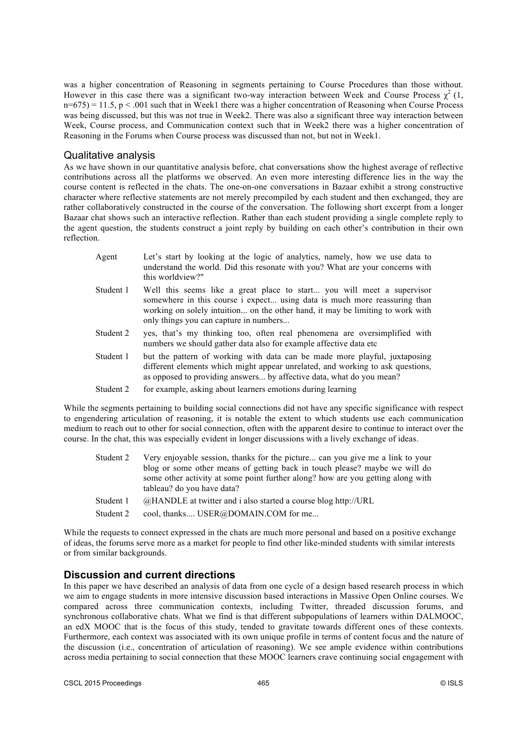was a higher concentration of Reasoning in segments pertaining to Course Procedures than those without. However in this case there was a significant two-way interaction between Week and Course Process  $\chi^2$  (1,  $n=675$ ) = 11.5,  $p < .001$  such that in Week1 there was a higher concentration of Reasoning when Course Process was being discussed, but this was not true in Week2. There was also a significant three way interaction between Week, Course process, and Communication context such that in Week2 there was a higher concentration of Reasoning in the Forums when Course process was discussed than not, but not in Week1.

### Qualitative analysis

As we have shown in our quantitative analysis before, chat conversations show the highest average of reflective contributions across all the platforms we observed. An even more interesting difference lies in the way the course content is reflected in the chats. The one-on-one conversations in Bazaar exhibit a strong constructive character where reflective statements are not merely precompiled by each student and then exchanged, they are rather collaboratively constructed in the course of the conversation. The following short excerpt from a longer Bazaar chat shows such an interactive reflection. Rather than each student providing a single complete reply to the agent question, the students construct a joint reply by building on each other's contribution in their own reflection.

- Agent Let's start by looking at the logic of analytics, namely, how we use data to understand the world. Did this resonate with you? What are your concerns with this worldview?"
- Student 1 Well this seems like a great place to start... you will meet a supervisor somewhere in this course i expect... using data is much more reassuring than working on solely intuition... on the other hand, it may be limiting to work with only things you can capture in numbers...
- Student 2 yes, that's my thinking too, often real phenomena are oversimplified with numbers we should gather data also for example affective data etc
- Student 1 but the pattern of working with data can be made more playful, juxtaposing different elements which might appear unrelated, and working to ask questions, as opposed to providing answers... by affective data, what do you mean?
- Student 2 for example, asking about learners emotions during learning

While the segments pertaining to building social connections did not have any specific significance with respect to engendering articulation of reasoning, it is notable the extent to which students use each communication medium to reach out to other for social connection, often with the apparent desire to continue to interact over the course. In the chat, this was especially evident in longer discussions with a lively exchange of ideas.

- Student 2 Very enjoyable session, thanks for the picture... can you give me a link to your blog or some other means of getting back in touch please? maybe we will do some other activity at some point further along? how are you getting along with tableau? do you have data?
- Student 1 @HANDLE at twitter and i also started a course blog http://URL
- Student 2 cool, thanks.... USER@DOMAIN.COM for me...

While the requests to connect expressed in the chats are much more personal and based on a positive exchange of ideas, the forums serve more as a market for people to find other like-minded students with similar interests or from similar backgrounds.

# **Discussion and current directions**

In this paper we have described an analysis of data from one cycle of a design based research process in which we aim to engage students in more intensive discussion based interactions in Massive Open Online courses. We compared across three communication contexts, including Twitter, threaded discussion forums, and synchronous collaborative chats. What we find is that different subpopulations of learners within DALMOOC, an edX MOOC that is the focus of this study, tended to gravitate towards different ones of these contexts. Furthermore, each context was associated with its own unique profile in terms of content focus and the nature of the discussion (i.e., concentration of articulation of reasoning). We see ample evidence within contributions across media pertaining to social connection that these MOOC learners crave continuing social engagement with